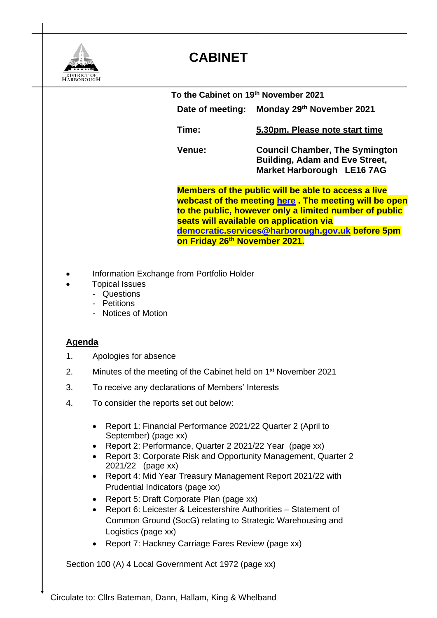

## **CABINET**

 **To the Cabinet on 19th November 2021 Date of meeting: Monday 29th November 2021 Time: 5.30pm. Please note start time Venue: Council Chamber, The Symington Building, Adam and Eve Street, Market Harborough LE16 7AG Members of the public will be able to access a live webcast of the meeting [here](https://cmis.harborough.gov.uk/cmis5/Meetings/tabid/73/ctl/ViewMeetingPublic/mid/410/Meeting/5649/Committee/807/SelectedTab/Documents/Default.aspx) . The meeting will be open to the public, however only a limited number of public seats will available on application via [democratic.services@harborough.gov.uk](mailto:democratic.services@harborough.gov.uk) before 5pm on Friday 26 th November 2021.** 

- Information Exchange from Portfolio Holder
- Topical Issues
	- Questions
	- Petitions
	- Notices of Motion

## **Agenda**

- 1. Apologies for absence
- 2. Minutes of the meeting of the Cabinet held on 1<sup>st</sup> November 2021
- 3. To receive any declarations of Members' Interests
- 4. To consider the reports set out below:
	- Report 1: Financial Performance 2021/22 Quarter 2 (April to September) (page xx)
	- Report 2: Performance, Quarter 2 2021/22 Year (page xx)
	- Report 3: Corporate Risk and Opportunity Management, Quarter 2 2021/22 (page xx)
	- Report 4: Mid Year Treasury Management Report 2021/22 with Prudential Indicators (page xx)
	- Report 5: Draft Corporate Plan (page xx)
	- Report 6: Leicester & Leicestershire Authorities Statement of Common Ground (SocG) relating to Strategic Warehousing and Logistics (page xx)
	- Report 7: Hackney Carriage Fares Review (page xx)

Section 100 (A) 4 Local Government Act 1972 (page xx)